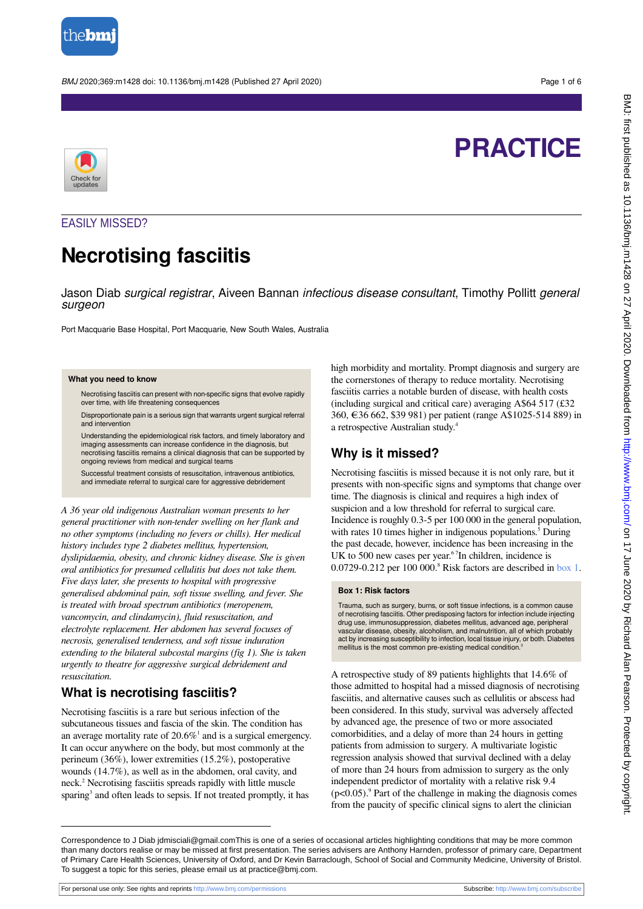

BMJ 2020;369:m1428 doi: 10.1136/bmj.m1428 (Published 27 April 2020) Page 1 of 6

# **PRACTICE**



# EASILY MISSED?

# **Necrotising fasciitis**

Jason Diab *surgical registrar*, Aiveen Bannan *infectious disease consultant*, Timothy Pollitt *general* surgeon

Port Macquarie Base Hospital, Port Macquarie, New South Wales, Australia

#### **What you need to know**

Necrotising fasciitis can present with non-specific signs that evolve rapidly over time, with life threatening consequences

Disproportionate pain is a serious sign that warrants urgent surgical referral and intervention

Understanding the epidemiological risk factors, and timely laboratory and imaging assessments can increase confidence in the diagnosis, but necrotising fasciitis remains a clinical diagnosis that can be supported by ongoing reviews from medical and surgical teams

Successful treatment consists of resuscitation, intravenous antibiotics and immediate referral to surgical care for aggressive debridement

*A 36 year old indigenous Australian woman presents to her general practitioner with non-tender swelling on her flank and no other symptoms (including no fevers or chills). Her medical history includes type 2 diabetes mellitus, hypertension, dyslipidaemia, obesity, and chronic kidney disease. She is given oral antibiotics for presumed cellulitis but does not take them. Five days later, she presents to hospital with progressive generalised abdominal pain, soft tissue swelling, and fever. She is treated with broad spectrum antibiotics (meropenem, vancomycin, and clindamycin), fluid resuscitation, and electrolyte replacement. Her abdomen has several focuses of necrosis, generalised tenderness, and soft tissue induration extending to the bilateral subcostal margins (fig 1). She is taken urgently to theatre for aggressive surgical debridement and resuscitation.*

# **What is necrotising fasciitis?**

Necrotising fasciitis is a rare but serious infection of the subcutaneous tissues and fascia of the skin. The condition has an average mortality rate of  $20.6\%$ <sup>1</sup> and is a surgical emergency. It can occur anywhere on the body, but most commonly at the perineum (36%), lower extremities (15.2%), postoperative wounds (14.7%), as well as in the abdomen, oral cavity, and neck.<sup>2</sup> Necrotising fasciitis spreads rapidly with little muscle sparing<sup>3</sup> and often leads to sepsis. If not treated promptly, it has

high morbidity and mortality. Prompt diagnosis and surgery are the cornerstones of therapy to reduce mortality. Necrotising fasciitis carries a notable burden of disease, with health costs (including surgical and critical care) averaging A\$64 517 (£32 360, €36 662, \$39 981) per patient (range A\$1025-514 889) in a retrospective Australian study.<sup>4</sup>

# **Why is it missed?**

<span id="page-0-0"></span>Necrotising fasciitis is missed because it is not only rare, but it presents with non-specific signs and symptoms that change over time. The diagnosis is clinical and requires a high index of suspicion and a low threshold for referral to surgical care. Incidence is roughly 0.3-5 per 100 000 in the general population, with rates 10 times higher in indigenous populations.<sup>5</sup> During the past decade, however, incidence has been increasing in the UK to 500 new cases per year.<sup>67</sup>In children, incidence is 0.0729-0.212 per 100 000.<sup>8</sup> Risk factors are described in [box 1](#page-0-0).

#### **Box 1: Risk factors**

Trauma, such as surgery, burns, or soft tissue infections, is a common cause of necrotising fasciitis. Other predisposing factors for infection include injecting drug use, immunosuppression, diabetes mellitus, advanced age, peripheral vascular disease, obesity, alcoholism, and malnutrition, all of which probably act by increasing susceptibility to infection, local tissue injury, or both. Diabetes mellitus is the most common pre-existing medical condition.

A retrospective study of 89 patients highlights that 14.6% of those admitted to hospital had a missed diagnosis of necrotising fasciitis, and alternative causes such as cellulitis or abscess had been considered. In this study, survival was adversely affected by advanced age, the presence of two or more associated comorbidities, and a delay of more than 24 hours in getting patients from admission to surgery. A multivariate logistic regression analysis showed that survival declined with a delay of more than 24 hours from admission to surgery as the only independent predictor of mortality with a relative risk 9.4  $(p<0.05)$ .<sup>9</sup> Part of the challenge in making the diagnosis comes from the paucity of specific clinical signs to alert the clinician

Correspondence to J Diab jdmisciali@gmail.comThis is one of a series of occasional articles highlighting conditions that may be more common than many doctors realise or may be missed at first presentation. The series advisers are Anthony Harnden, professor of primary care, Department of Primary Care Health Sciences, University of Oxford, and Dr Kevin Barraclough, School of Social and Community Medicine, University of Bristol. To suggest a topic for this series, please email us at practice@bmj.com.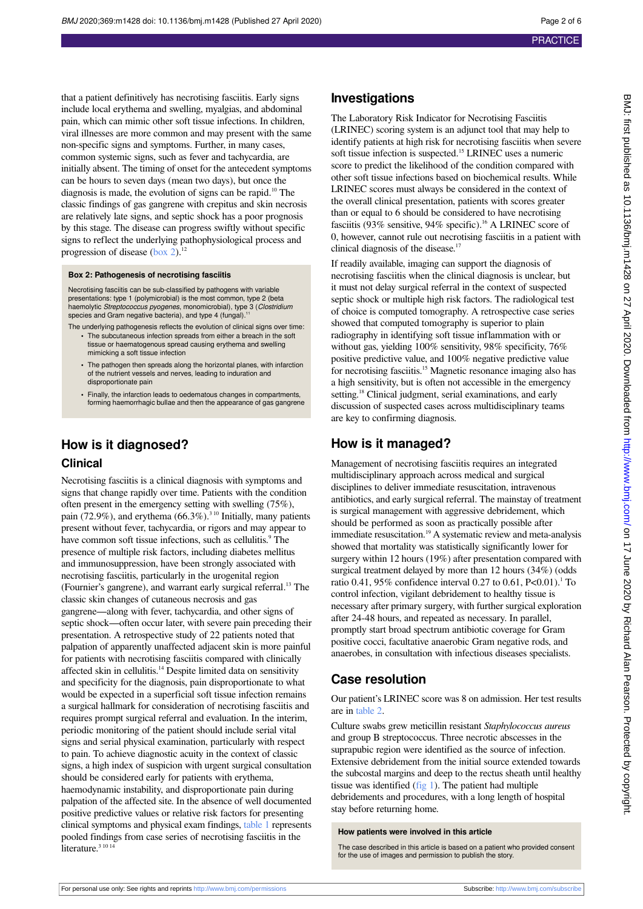that a patient definitively has necrotising fasciitis. Early signs include local erythema and swelling, myalgias, and abdominal pain, which can mimic other soft tissue infections. In children, viral illnesses are more common and may present with the same non-specific signs and symptoms. Further, in many cases, common systemic signs, such as fever and tachycardia, are initially absent. The timing of onset for the antecedent symptoms can be hours to seven days (mean two days), but once the diagnosis is made, the evolution of signs can be rapid.<sup>10</sup> The classic findings of gas gangrene with crepitus and skin necrosis are relatively late signs, and septic shock has a poor prognosis by this stage. The disease can progress swiftly without specific signs to reflect the underlying pathophysiological process and progression of disease ([box 2\)](#page-1-0).<sup>12</sup>

#### <span id="page-1-0"></span>**Box 2: Pathogenesis of necrotising fasciitis**

Necrotising fasciitis can be sub-classified by pathogens with variable presentations: type 1 (polymicrobial) is the most common, type 2 (beta<br>haemolytic *Streptococcus pyogenes*, monomicrobial), type 3 (*Clostridium* species and Gram negative bacteria), and type 4 (fungal).<sup>11</sup>

- The underlying pathogenesis reflects the evolution of clinical signs over time: **•** The subcutaneous infection spreads from either a breach in the soft tissue or haematogenous spread causing erythema and swelling mimicking a soft tissue infection
	- **•** The pathogen then spreads along the horizontal planes, with infarction of the nutrient vessels and nerves, leading to induration and disproportionate pain
	- **•** Finally, the infarction leads to oedematous changes in compartments, forming haemorrhagic bullae and then the appearance of gas gangrene

# **How is it diagnosed?**

#### **Clinical**

Necrotising fasciitis is a clinical diagnosis with symptoms and signs that change rapidly over time. Patients with the condition often present in the emergency setting with swelling (75%), pain (72.9%), and erythema (66.3%).<sup>310</sup> Initially, many patients present without fever, tachycardia, or rigors and may appear to have common soft tissue infections, such as cellulitis.<sup>9</sup> The presence of multiple risk factors, including diabetes mellitus and immunosuppression, have been strongly associated with necrotising fasciitis, particularly in the urogenital region (Fournier's gangrene), and warrant early surgical referral.<sup>13</sup> The classic skin changes of cutaneous necrosis and gas gangrene—along with fever, tachycardia, and other signs of septic shock—often occur later, with severe pain preceding their presentation. A retrospective study of 22 patients noted that palpation of apparently unaffected adjacent skin is more painful for patients with necrotising fasciitis compared with clinically affected skin in cellulitis.<sup>14</sup> Despite limited data on sensitivity and specificity for the diagnosis, pain disproportionate to what would be expected in a superficial soft tissue infection remains a surgical hallmark for consideration of necrotising fasciitis and requires prompt surgical referral and evaluation. In the interim, periodic monitoring of the patient should include serial vital signs and serial physical examination, particularly with respect to pain. To achieve diagnostic acuity in the context of classic signs, a high index of suspicion with urgent surgical consultation should be considered early for patients with erythema, haemodynamic instability, and disproportionate pain during palpation of the affected site. In the absence of well documented positive predictive values or relative risk factors for presenting clinical symptoms and physical exam findings, [table 1](#page-3-0) represents pooled findings from case series of necrotising fasciitis in the literature.<sup>3 10 14</sup>

### **Investigations**

The Laboratory Risk Indicator for Necrotising Fasciitis (LRINEC) scoring system is an adjunct tool that may help to identify patients at high risk for necrotising fasciitis when severe soft tissue infection is suspected.<sup>15</sup> LRINEC uses a numeric score to predict the likelihood of the condition compared with other soft tissue infections based on biochemical results. While LRINEC scores must always be considered in the context of the overall clinical presentation, patients with scores greater than or equal to 6 should be considered to have necrotising fasciitis (93% sensitive, 94% specific).<sup>16</sup> A LRINEC score of 0, however, cannot rule out necrotising fasciitis in a patient with clinical diagnosis of the disease.<sup>17</sup>

If readily available, imaging can support the diagnosis of necrotising fasciitis when the clinical diagnosis is unclear, but it must not delay surgical referral in the context of suspected septic shock or multiple high risk factors. The radiological test of choice is computed tomography. A retrospective case series showed that computed tomography is superior to plain radiography in identifying soft tissue inflammation with or without gas, yielding 100% sensitivity, 98% specificity, 76% positive predictive value, and 100% negative predictive value for necrotising fasciitis.<sup>15</sup> Magnetic resonance imaging also has a high sensitivity, but is often not accessible in the emergency setting.<sup>18</sup> Clinical judgment, serial examinations, and early discussion of suspected cases across multidisciplinary teams are key to confirming diagnosis.

## **How is it managed?**

Management of necrotising fasciitis requires an integrated multidisciplinary approach across medical and surgical disciplines to deliver immediate resuscitation, intravenous antibiotics, and early surgical referral. The mainstay of treatment is surgical management with aggressive debridement, which should be performed as soon as practically possible after immediate resuscitation.<sup>19</sup> A systematic review and meta-analysis showed that mortality was statistically significantly lower for surgery within 12 hours (19%) after presentation compared with surgical treatment delayed by more than 12 hours (34%) (odds ratio 0.41, 95% confidence interval 0.27 to 0.61,  $P<0.01$ ).<sup>1</sup> To control infection, vigilant debridement to healthy tissue is necessary after primary surgery, with further surgical exploration after 24-48 hours, and repeated as necessary. In parallel, promptly start broad spectrum antibiotic coverage for Gram positive cocci, facultative anaerobic Gram negative rods, and anaerobes, in consultation with infectious diseases specialists.

### **Case resolution**

Our patient's LRINEC score was 8 on admission. Her test results are in [table 2.](#page-4-0)

Culture swabs grew meticillin resistant *Staphylococcus aureus* and group B streptococcus. Three necrotic abscesses in the suprapubic region were identified as the source of infection. Extensive debridement from the initial source extended towards the subcostal margins and deep to the rectus sheath until healthy tissue was identified  $(fig 1)$  $(fig 1)$ . The patient had multiple debridements and procedures, with a long length of hospital stay before returning home.

#### **How patients were involved in this article**

The case described in this article is based on a patient who provided consent for the use of images and permission to publish the story.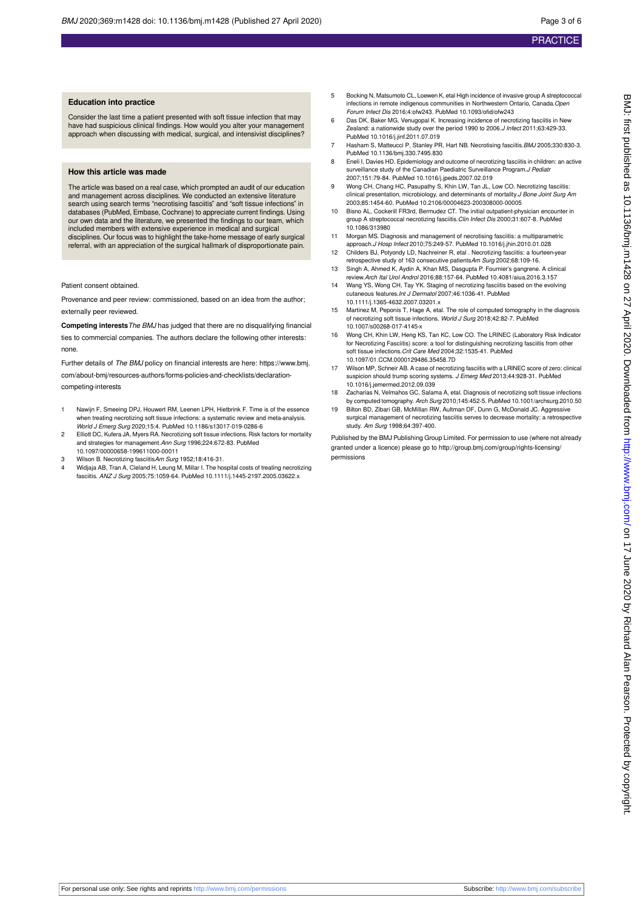#### **Education into practice**

Consider the last time a patient presented with soft tissue infection that may have had suspicious clinical findings. How would you alter your management approach when discussing with medical, surgical, and intensivist disciplines?

#### **How this article was made**

The article was based on a real case, which prompted an audit of our education and management across disciplines. We conducted an extensive literature search using search terms "necrotising fasciitis" and "soft tissue infections" in databases (PubMed, Embase, Cochrane) to appreciate current findings. Using our own data and the literature, we presented the findings to our team, which included members with extensive experience in medical and surgical disciplines. Our focus was to highlight the take-home message of early surgical referral, with an appreciation of the surgical hallmark of disproportionate pain.

Patient consent obtained.

Provenance and peer review: commissioned, based on an idea from the author; externally peer reviewed.

**Competing interests**The BMJ has judged that there are no disqualifying financial ties to commercial companies. The authors declare the following other interests: none.

Further details of The BMJ policy on financial interests are here: https://www.bmj. com/about-bmj/resources-authors/forms-policies-and-checklists/declarationcompeting-interests

- 1 Nawijn F, Smeeing DPJ, Houwert RM, Leenen LPH, Hietbrink F. Time is of the essence when treating necrotizing soft tissue infections: a systematic review and meta-analysis. World J Emerg Surg 2020;15:4. PubMed 10.1186/s13017-019-0286-6
- 2 Elliott DC, Kufera JA, Myers RA. Necrotizing soft tissue infections. Risk factors for mortality and strategies for management.Ann Surg 1996;224:672-83. PubMed 10.1097/00000658-199611000-00011
- 3 Wilson B. Necrotizing fasciitisAm Surg 1952;18:416-31.
- 4 Widjaja AB, Tran A, Cleland H, Leung M, Millar I. The hospital costs of treating necrotizing fasciitis. ANZ J Surg 2005;75:1059-64. PubMed 10.1111/j.1445-2197.2005.03622.x
- 5 Bocking N, Matsumoto CL, Loewen K, etal High incidence of invasive group A streptococcal infections in remote indigenous communities in Northwestern Ontario, Canada.Open Forum Infect Dis 2016;4:ofw243. PubMed 10.1093/ofid/ofw243
- 6 Das DK, Baker MG, Venugopal K. Increasing incidence of necrotizing fasciitis in New Zealand: a nationwide study over the period 1990 to 2006.J Infect 2011;63:429-33. PubMed 10.1016/j.jinf.2011.07.019
- 7 Hasham S, Matteucci P, Stanley PR, Hart NB. Necrotising fasciitis. BMJ 2005;330:830-3. PubMed 10.1136/bmj.330.7495.830
- 8 Eneli I, Davies HD. Epidemiology and outcome of necrotizing fasciitis in children: an active surveillance study of the Canadian Paediatric Surveillance Program. J Pediatr 2007;151:79-84. PubMed 10.1016/j.jpeds.2007.02.019
- 9 Wong CH, Chang HC, Pasupathy S, Khin LW, Tan JL, Low CO. Necrotizing fasciitis: clinical presentation, microbiology, and determinants of mortality.*J Bone Joint Surg Am* 2003;85:1454-60. PubMed 10.2106/00004623-200308000-00005
- 10 Bisno AL, Cockerill FR3rd, Bermudez CT. The initial outpatient-physician encounter in group A streptococcal necrotizing fasciitis.Clin Infect Dis 2000;31:607-8. PubMed 10.1086/313980
- 11 Morgan MS. Diagnosis and management of necrotising fasciitis: a multiparan approach.J Hosp Infect 2010;75:249-57. PubMed 10.1016/j.jhin.2010.01.028
- 12 Childers BJ, Potyondy LD, Nachreiner R, etal . Necrotizing fasciitis: a fourteen-year retrospective study of 163 consecutive patientsAm Surg 2002;68:109-16.
- 13 Singh A, Ahmed K, Aydin A, Khan MS, Dasgupta P. Fournier's gangrene. A clinical review.Arch Ital Urol Androl 2016;88:157-64. PubMed 10.4081/aiua.2016.3.157
- 14 Wang YS, Wong CH, Tay YK. Staging of necrotizing fasciitis based on the evolving cutaneous features.Int J Dermatol 2007;46:1036-41. PubMed
- 10.1111/j.1365-4632.2007.03201.x<br>15 Martinez M, Peponis T, Hage A, etal. The role of computed tomography in the diagnosis<br>15 of necrotizing soft tissue infections. World J Surg 2018;42:82-7. PubMed 10.1007/s00268-017-4145-x
- 16 Wong CH, Khin LW, Heng KS, Tan KC, Low CO. The LRINEC (Laboratory Risk Indicator for Necrotizing Fasciitis) score: a tool for distinguishing necrotizing fasciitis from other soft tissue infections.Crit Care Med 2004;32:1535-41. PubMed 10.1097/01.CCM.0000129486.35458.7D
- 17 Wilson MP, Schneir AB. A case of necrotizing fasciitis with a LRINEC score of zero: clinical suspicion should trump scoring systems. J Emerg Med 2013;44:928-31. PubMed 10.1016/j.jemermed.2012.09.039
- 18 Zacharias N, Velmahos GC, Salama A, etal. Diagnosis of necrotizing soft tissue infections by computed tomography. Arch Surg 2010;145:452-5. PubMed 10.1001/archsurg.2010.50
- 19 Bilton BD, Zibari GB, McMillan RW, Aultman DF, Dunn G, McDonald JC. Aggressive surgical management of necrotizing fasciitis serves to decrease mortality: a retrospective study. Am Surg 1998;64:397-400.

Published by the BMJ Publishing Group Limited. For permission to use (where not already granted under a licence) please go to [http://group.bmj.com/group/rights-licensing/](http://group.bmj.com/group/rights-licensing/permissions) [permissions](http://group.bmj.com/group/rights-licensing/permissions)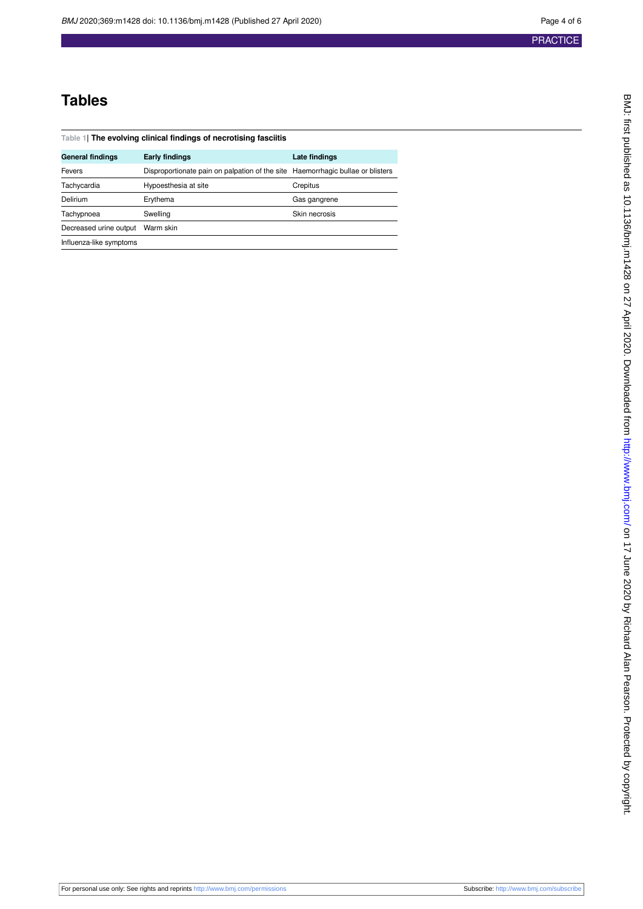4 of 6

# **Tables**

<span id="page-3-0"></span>

| Table 1 The evolving clinical findings of necrotising fasciitis |                                                                                |               |  |  |  |  |  |  |
|-----------------------------------------------------------------|--------------------------------------------------------------------------------|---------------|--|--|--|--|--|--|
| <b>General findings</b>                                         | <b>Early findings</b>                                                          | Late findings |  |  |  |  |  |  |
| Fevers                                                          | Disproportionate pain on palpation of the site Haemorrhagic bullae or blisters |               |  |  |  |  |  |  |
| Tachycardia                                                     | Hypoesthesia at site                                                           | Crepitus      |  |  |  |  |  |  |
| Delirium                                                        | Erythema                                                                       | Gas gangrene  |  |  |  |  |  |  |
| Tachypnoea                                                      | Swelling                                                                       | Skin necrosis |  |  |  |  |  |  |
| Decreased urine output                                          | Warm skin                                                                      |               |  |  |  |  |  |  |
| Influenza-like symptoms                                         |                                                                                |               |  |  |  |  |  |  |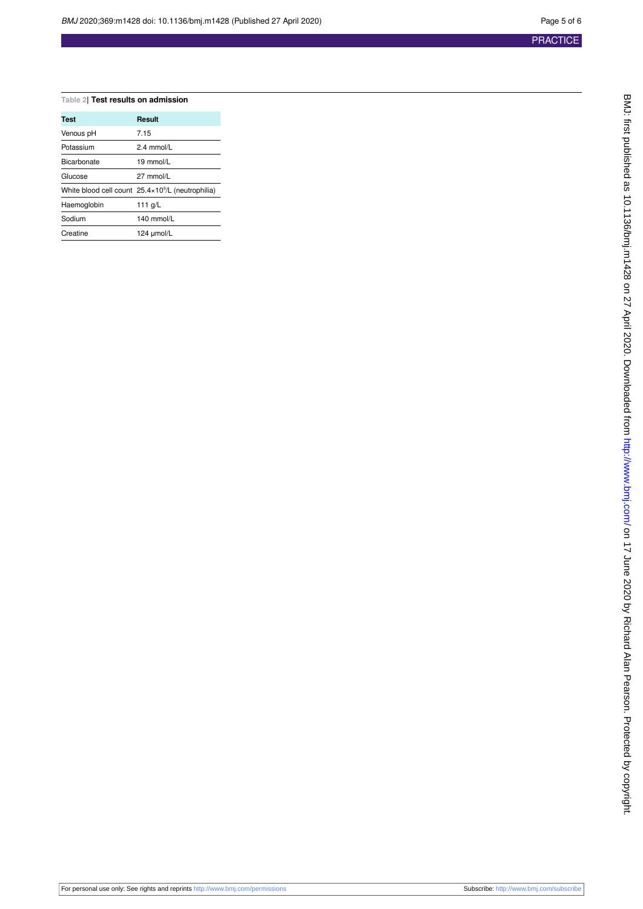5 of 6

#### <span id="page-4-0"></span>**Table 2| Test results on admission**

| Test        | Result                                                      |  |  |  |
|-------------|-------------------------------------------------------------|--|--|--|
| Venous pH   | 7.15                                                        |  |  |  |
| Potassium   | $2.4$ mmol/L                                                |  |  |  |
| Bicarbonate | $19 \text{ mmol/l}$                                         |  |  |  |
| Glucose     | 27 mmol/L                                                   |  |  |  |
|             | White blood cell count $25.4 \times 10^9$ /L (neutrophilia) |  |  |  |
| Haemoglobin | 111 $q/L$                                                   |  |  |  |
| Sodium      | $140$ mmol/L                                                |  |  |  |
| Creatine    | 124 umol/L                                                  |  |  |  |

|  | For personal use only: See rights and reprints http://www.bmj.com/permissions |  |  |  |  |  |  |
|--|-------------------------------------------------------------------------------|--|--|--|--|--|--|
|--|-------------------------------------------------------------------------------|--|--|--|--|--|--|